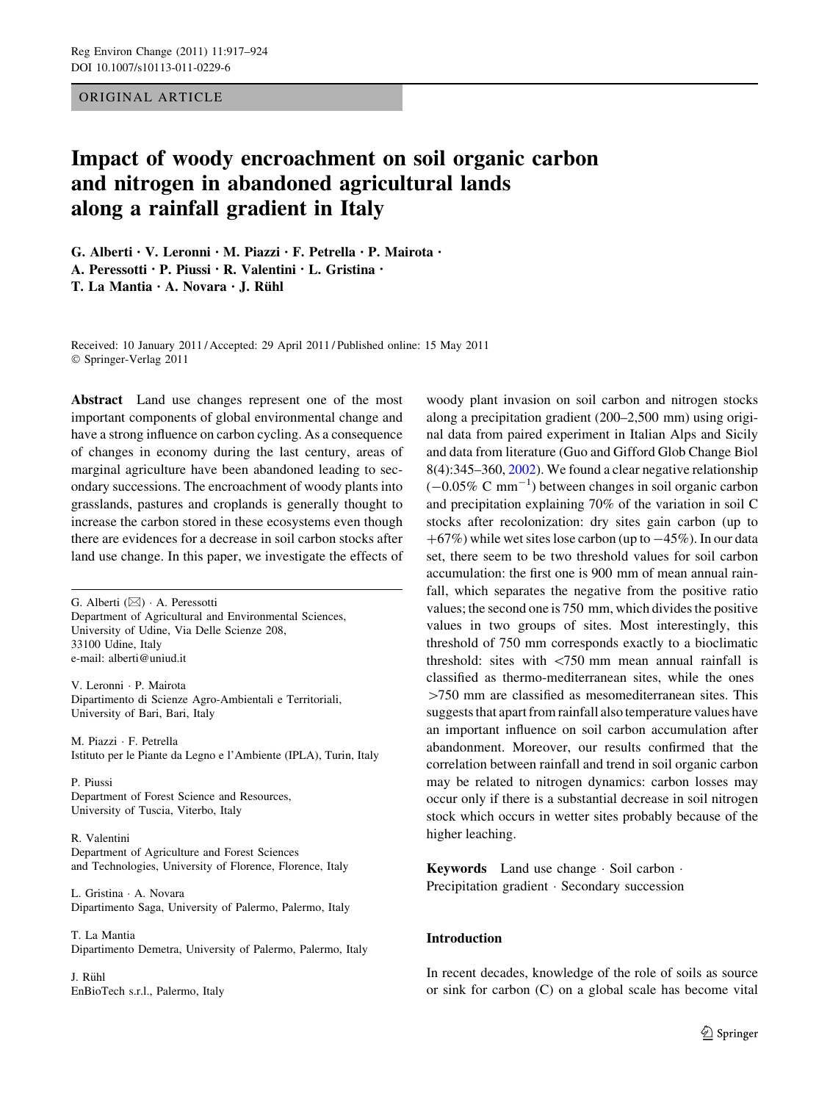ORIGINAL ARTICLE

# Impact of woody encroachment on soil organic carbon and nitrogen in abandoned agricultural lands along a rainfall gradient in Italy

G. Alberti • V. Leronni • M. Piazzi • F. Petrella • P. Mairota • A. Peressotti • P. Piussi • R. Valentini • L. Gristina •

T. La Mantia  $\cdot$  A. Novara  $\cdot$  J. Rühl

Received: 10 January 2011 / Accepted: 29 April 2011 / Published online: 15 May 2011 © Springer-Verlag 2011

Abstract Land use changes represent one of the most important components of global environmental change and have a strong influence on carbon cycling. As a consequence of changes in economy during the last century, areas of marginal agriculture have been abandoned leading to secondary successions. The encroachment of woody plants into grasslands, pastures and croplands is generally thought to increase the carbon stored in these ecosystems even though there are evidences for a decrease in soil carbon stocks after land use change. In this paper, we investigate the effects of

G. Alberti  $(\boxtimes) \cdot$  A. Peressotti Department of Agricultural and Environmental Sciences, University of Udine, Via Delle Scienze 208, 33100 Udine, Italy e-mail: alberti@uniud.it

V. Leronni - P. Mairota Dipartimento di Scienze Agro-Ambientali e Territoriali, University of Bari, Bari, Italy

M. Piazzi - F. Petrella Istituto per le Piante da Legno e l'Ambiente (IPLA), Turin, Italy

P. Piussi Department of Forest Science and Resources, University of Tuscia, Viterbo, Italy

R. Valentini Department of Agriculture and Forest Sciences and Technologies, University of Florence, Florence, Italy

L. Gristina - A. Novara Dipartimento Saga, University of Palermo, Palermo, Italy

T. La Mantia Dipartimento Demetra, University of Palermo, Palermo, Italy

J. Rühl EnBioTech s.r.l., Palermo, Italy

woody plant invasion on soil carbon and nitrogen stocks along a precipitation gradient (200–2,500 mm) using original data from paired experiment in Italian Alps and Sicily and data from literature (Guo and Gifford Glob Change Biol 8(4):345–360, [2002\)](#page-6-0). We found a clear negative relationship  $(-0.05\% \text{ C mm}^{-1})$  between changes in soil organic carbon and precipitation explaining 70% of the variation in soil C stocks after recolonization: dry sites gain carbon (up to  $+67\%$ ) while wet sites lose carbon (up to  $-45\%$ ). In our data set, there seem to be two threshold values for soil carbon accumulation: the first one is 900 mm of mean annual rainfall, which separates the negative from the positive ratio values; the second one is 750 mm, which divides the positive values in two groups of sites. Most interestingly, this threshold of 750 mm corresponds exactly to a bioclimatic threshold: sites with  $\langle 750 \text{ mm}$  mean annual rainfall is classified as thermo-mediterranean sites, while the ones  $>750$  mm are classified as mesomediterranean sites. This suggests that apart from rainfall also temperature values have an important influence on soil carbon accumulation after abandonment. Moreover, our results confirmed that the correlation between rainfall and trend in soil organic carbon may be related to nitrogen dynamics: carbon losses may occur only if there is a substantial decrease in soil nitrogen stock which occurs in wetter sites probably because of the higher leaching.

Keywords Land use change - Soil carbon - Precipitation gradient · Secondary succession

# Introduction

In recent decades, knowledge of the role of soils as source or sink for carbon (C) on a global scale has become vital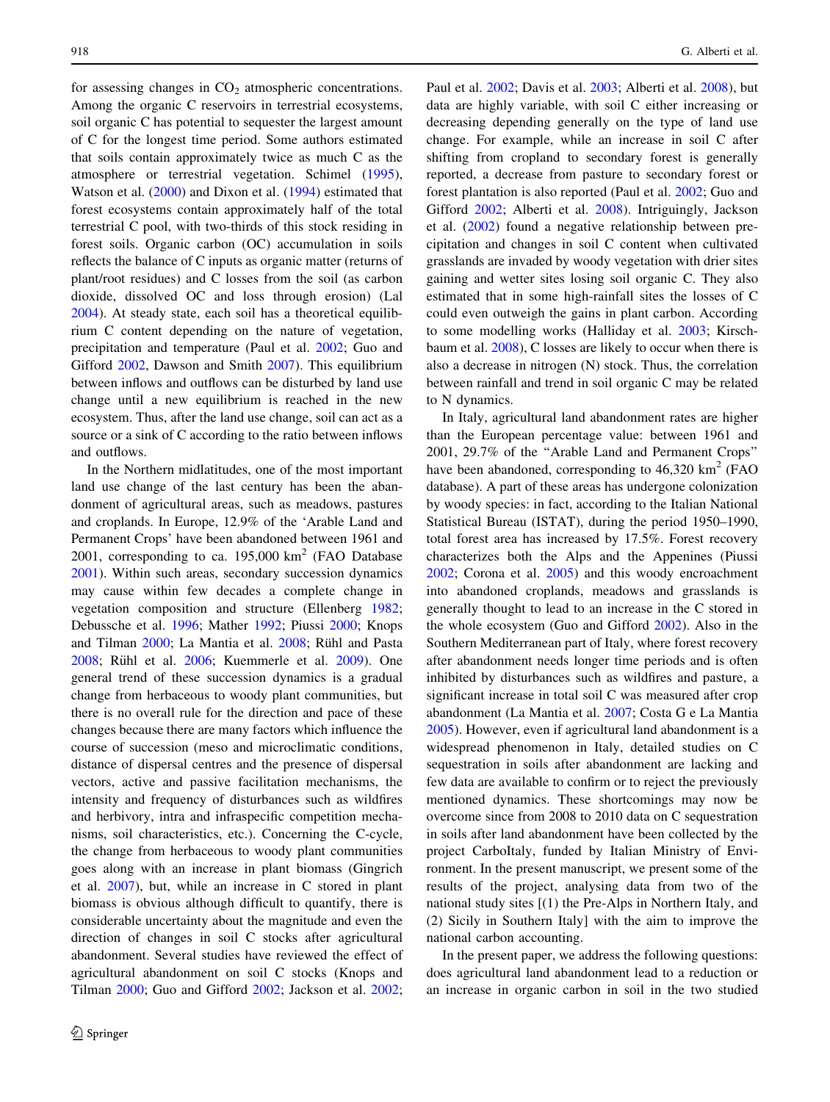for assessing changes in  $CO<sub>2</sub>$  atmospheric concentrations. Among the organic C reservoirs in terrestrial ecosystems, soil organic C has potential to sequester the largest amount of C for the longest time period. Some authors estimated that soils contain approximately twice as much C as the atmosphere or terrestrial vegetation. Schimel [\(1995](#page-7-0)), Watson et al. [\(2000](#page-7-0)) and Dixon et al. ([1994\)](#page-6-0) estimated that forest ecosystems contain approximately half of the total terrestrial C pool, with two-thirds of this stock residing in forest soils. Organic carbon (OC) accumulation in soils reflects the balance of C inputs as organic matter (returns of plant/root residues) and C losses from the soil (as carbon dioxide, dissolved OC and loss through erosion) (Lal [2004\)](#page-6-0). At steady state, each soil has a theoretical equilibrium C content depending on the nature of vegetation, precipitation and temperature (Paul et al. [2002;](#page-7-0) Guo and Gifford [2002](#page-6-0), Dawson and Smith [2007\)](#page-6-0). This equilibrium between inflows and outflows can be disturbed by land use change until a new equilibrium is reached in the new ecosystem. Thus, after the land use change, soil can act as a source or a sink of C according to the ratio between inflows and outflows.

In the Northern midlatitudes, one of the most important land use change of the last century has been the abandonment of agricultural areas, such as meadows, pastures and croplands. In Europe, 12.9% of the 'Arable Land and Permanent Crops' have been abandoned between 1961 and 2001, corresponding to ca.  $195,000 \text{ km}^2$  (FAO Database [2001\)](#page-6-0). Within such areas, secondary succession dynamics may cause within few decades a complete change in vegetation composition and structure (Ellenberg [1982](#page-6-0); Debussche et al. [1996;](#page-6-0) Mather [1992](#page-6-0); Piussi [2000](#page-7-0); Knops and Tilman [2000](#page-6-0); La Mantia et al. [2008;](#page-6-0) Rühl and Pasta [2008;](#page-7-0) Rühl et al. [2006](#page-7-0); Kuemmerle et al. [2009](#page-6-0)). One general trend of these succession dynamics is a gradual change from herbaceous to woody plant communities, but there is no overall rule for the direction and pace of these changes because there are many factors which influence the course of succession (meso and microclimatic conditions, distance of dispersal centres and the presence of dispersal vectors, active and passive facilitation mechanisms, the intensity and frequency of disturbances such as wildfires and herbivory, intra and infraspecific competition mechanisms, soil characteristics, etc.). Concerning the C-cycle, the change from herbaceous to woody plant communities goes along with an increase in plant biomass (Gingrich et al. [2007\)](#page-6-0), but, while an increase in C stored in plant biomass is obvious although difficult to quantify, there is considerable uncertainty about the magnitude and even the direction of changes in soil C stocks after agricultural abandonment. Several studies have reviewed the effect of agricultural abandonment on soil C stocks (Knops and Tilman [2000](#page-6-0); Guo and Gifford [2002](#page-6-0); Jackson et al. [2002](#page-6-0);

Paul et al. [2002](#page-7-0); Davis et al. [2003;](#page-6-0) Alberti et al. [2008\)](#page-6-0), but data are highly variable, with soil C either increasing or decreasing depending generally on the type of land use change. For example, while an increase in soil C after shifting from cropland to secondary forest is generally reported, a decrease from pasture to secondary forest or forest plantation is also reported (Paul et al. [2002;](#page-7-0) Guo and Gifford [2002;](#page-6-0) Alberti et al. [2008](#page-6-0)). Intriguingly, Jackson et al. ([2002](#page-6-0)) found a negative relationship between precipitation and changes in soil C content when cultivated grasslands are invaded by woody vegetation with drier sites gaining and wetter sites losing soil organic C. They also estimated that in some high-rainfall sites the losses of C could even outweigh the gains in plant carbon. According to some modelling works (Halliday et al. [2003;](#page-6-0) Kirschbaum et al. [2008\)](#page-6-0), C losses are likely to occur when there is also a decrease in nitrogen (N) stock. Thus, the correlation between rainfall and trend in soil organic C may be related to N dynamics.

In Italy, agricultural land abandonment rates are higher than the European percentage value: between 1961 and 2001, 29.7% of the ''Arable Land and Permanent Crops'' have been abandoned, corresponding to  $46,320 \text{ km}^2$  (FAO database). A part of these areas has undergone colonization by woody species: in fact, according to the Italian National Statistical Bureau (ISTAT), during the period 1950–1990, total forest area has increased by 17.5%. Forest recovery characterizes both the Alps and the Appenines (Piussi [2002](#page-7-0); Corona et al. [2005\)](#page-6-0) and this woody encroachment into abandoned croplands, meadows and grasslands is generally thought to lead to an increase in the C stored in the whole ecosystem (Guo and Gifford [2002](#page-6-0)). Also in the Southern Mediterranean part of Italy, where forest recovery after abandonment needs longer time periods and is often inhibited by disturbances such as wildfires and pasture, a significant increase in total soil C was measured after crop abandonment (La Mantia et al. [2007;](#page-6-0) Costa G e La Mantia [2005](#page-6-0)). However, even if agricultural land abandonment is a widespread phenomenon in Italy, detailed studies on C sequestration in soils after abandonment are lacking and few data are available to confirm or to reject the previously mentioned dynamics. These shortcomings may now be overcome since from 2008 to 2010 data on C sequestration in soils after land abandonment have been collected by the project CarboItaly, funded by Italian Ministry of Environment. In the present manuscript, we present some of the results of the project, analysing data from two of the national study sites [(1) the Pre-Alps in Northern Italy, and (2) Sicily in Southern Italy] with the aim to improve the national carbon accounting.

In the present paper, we address the following questions: does agricultural land abandonment lead to a reduction or an increase in organic carbon in soil in the two studied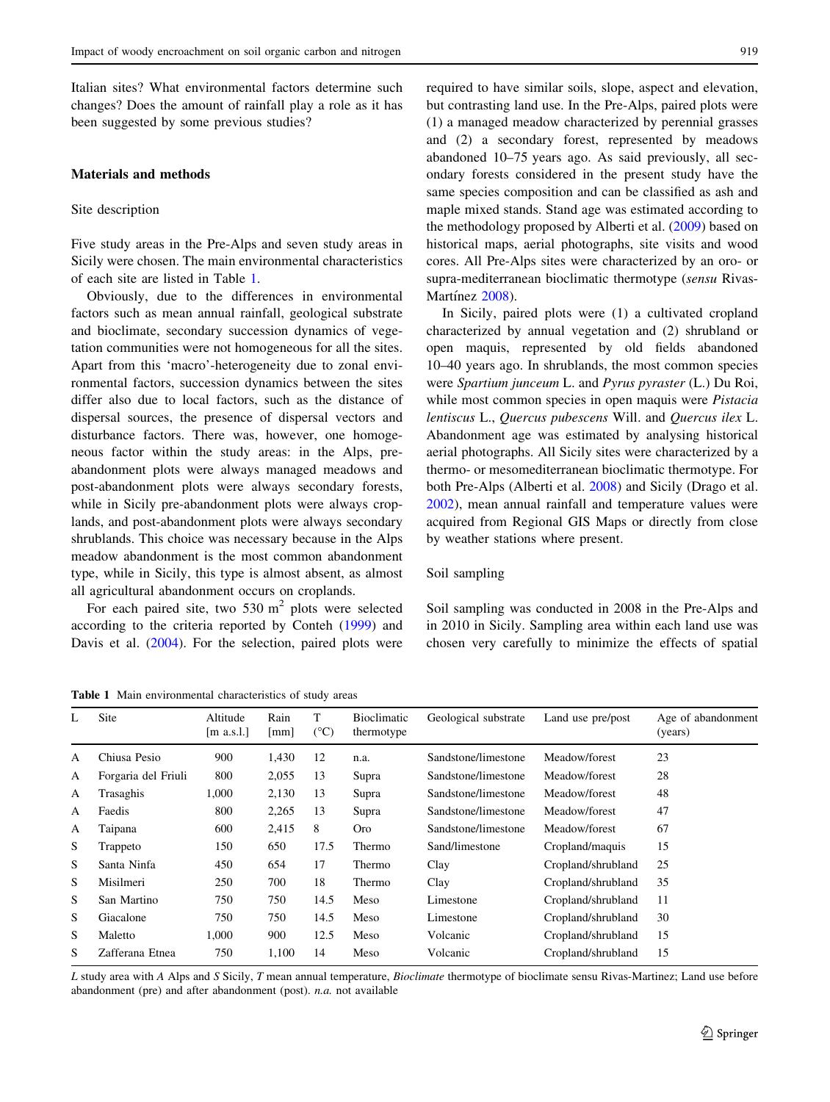Italian sites? What environmental factors determine such changes? Does the amount of rainfall play a role as it has been suggested by some previous studies?

# Materials and methods

#### Site description

Five study areas in the Pre-Alps and seven study areas in Sicily were chosen. The main environmental characteristics of each site are listed in Table 1.

Obviously, due to the differences in environmental factors such as mean annual rainfall, geological substrate and bioclimate, secondary succession dynamics of vegetation communities were not homogeneous for all the sites. Apart from this 'macro'-heterogeneity due to zonal environmental factors, succession dynamics between the sites differ also due to local factors, such as the distance of dispersal sources, the presence of dispersal vectors and disturbance factors. There was, however, one homogeneous factor within the study areas: in the Alps, preabandonment plots were always managed meadows and post-abandonment plots were always secondary forests, while in Sicily pre-abandonment plots were always croplands, and post-abandonment plots were always secondary shrublands. This choice was necessary because in the Alps meadow abandonment is the most common abandonment type, while in Sicily, this type is almost absent, as almost all agricultural abandonment occurs on croplands.

For each paired site, two  $530 \text{ m}^2$  plots were selected according to the criteria reported by Conteh ([1999\)](#page-6-0) and Davis et al. [\(2004](#page-6-0)). For the selection, paired plots were

Table 1 Main environmental characteristics of study areas

required to have similar soils, slope, aspect and elevation, but contrasting land use. In the Pre-Alps, paired plots were (1) a managed meadow characterized by perennial grasses and (2) a secondary forest, represented by meadows abandoned 10–75 years ago. As said previously, all secondary forests considered in the present study have the same species composition and can be classified as ash and maple mixed stands. Stand age was estimated according to the methodology proposed by Alberti et al. [\(2009](#page-6-0)) based on historical maps, aerial photographs, site visits and wood cores. All Pre-Alps sites were characterized by an oro- or supra-mediterranean bioclimatic thermotype (sensu Rivas-Martínez [2008\)](#page-7-0).

In Sicily, paired plots were (1) a cultivated cropland characterized by annual vegetation and (2) shrubland or open maquis, represented by old fields abandoned 10–40 years ago. In shrublands, the most common species were Spartium junceum L. and Pyrus pyraster (L.) Du Roi, while most common species in open maquis were *Pistacia* lentiscus L., Quercus pubescens Will. and Quercus ilex L. Abandonment age was estimated by analysing historical aerial photographs. All Sicily sites were characterized by a thermo- or mesomediterranean bioclimatic thermotype. For both Pre-Alps (Alberti et al. [2008\)](#page-6-0) and Sicily (Drago et al. [2002](#page-6-0)), mean annual rainfall and temperature values were acquired from Regional GIS Maps or directly from close by weather stations where present.

### Soil sampling

Soil sampling was conducted in 2008 in the Pre-Alps and in 2010 in Sicily. Sampling area within each land use was chosen very carefully to minimize the effects of spatial

| L | Site                | Altitude<br>$\left[\text{m a.s.}\right]$ . | Rain<br>[mm] | т<br>$({}^{\circ}C)$ | Bioclimatic<br>thermotype | Geological substrate | Land use pre/post  | Age of abandonment<br>(years) |
|---|---------------------|--------------------------------------------|--------------|----------------------|---------------------------|----------------------|--------------------|-------------------------------|
| A | Chiusa Pesio        | 900                                        | 1,430        | 12                   | n.a.                      | Sandstone/limestone  | Meadow/forest      | 23                            |
| A | Forgaria del Friuli | 800                                        | 2,055        | 13                   | Supra                     | Sandstone/limestone  | Meadow/forest      | 28                            |
| A | Trasaghis           | 1,000                                      | 2,130        | 13                   | Supra                     | Sandstone/limestone  | Meadow/forest      | 48                            |
| A | Faedis              | 800                                        | 2,265        | 13                   | Supra                     | Sandstone/limestone  | Meadow/forest      | 47                            |
| A | Taipana             | 600                                        | 2,415        | 8                    | <b>Oro</b>                | Sandstone/limestone  | Meadow/forest      | 67                            |
| S | Trappeto            | 150                                        | 650          | 17.5                 | Thermo                    | Sand/limestone       | Cropland/maquis    | 15                            |
| S | Santa Ninfa         | 450                                        | 654          | 17                   | Thermo                    | Clay                 | Cropland/shrubland | 25                            |
| S | Misilmeri           | 250                                        | 700          | 18                   | Thermo                    | Clay                 | Cropland/shrubland | 35                            |
| S | San Martino         | 750                                        | 750          | 14.5                 | Meso                      | Limestone            | Cropland/shrubland | 11                            |
| S | Giacalone           | 750                                        | 750          | 14.5                 | Meso                      | Limestone            | Cropland/shrubland | 30                            |
| S | Maletto             | 1,000                                      | 900          | 12.5                 | Meso                      | Volcanic             | Cropland/shrubland | 15                            |
| S | Zafferana Etnea     | 750                                        | 1,100        | 14                   | Meso                      | Volcanic             | Cropland/shrubland | 15                            |

L study area with A Alps and S Sicily, T mean annual temperature, Bioclimate thermotype of bioclimate sensu Rivas-Martinez; Land use before abandonment (pre) and after abandonment (post). n.a. not available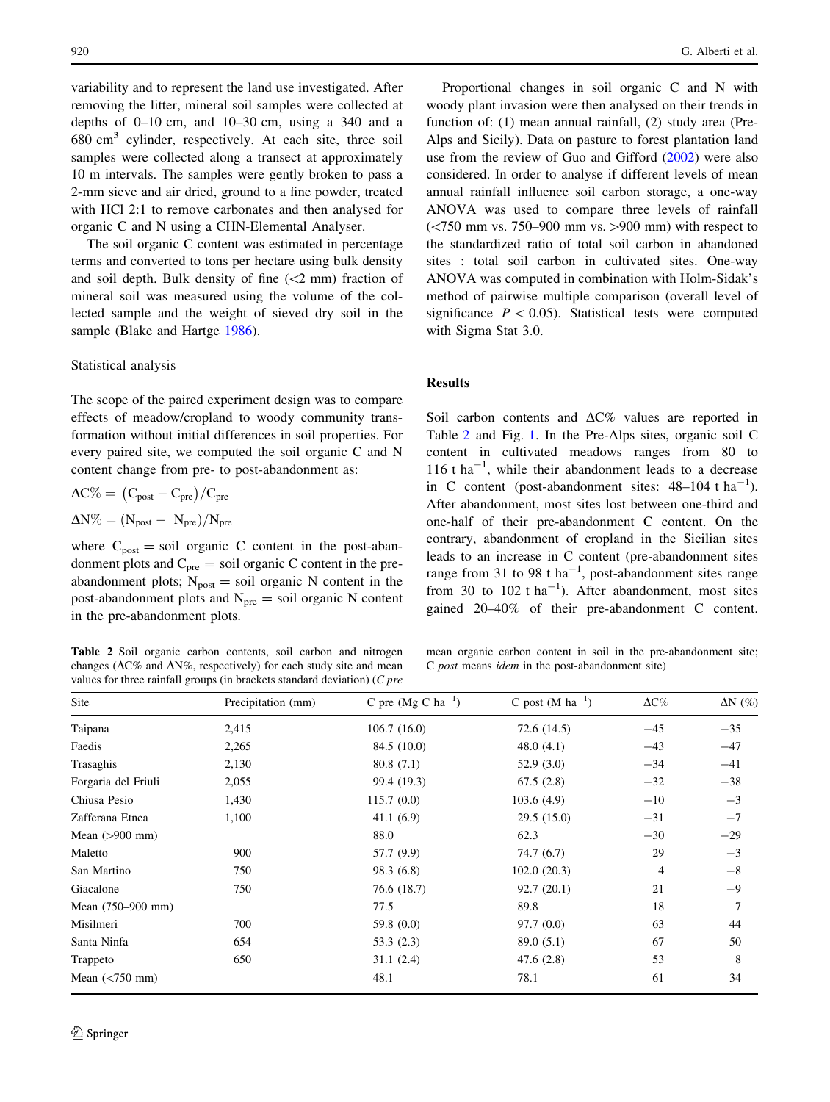variability and to represent the land use investigated. After removing the litter, mineral soil samples were collected at depths of  $0-10$  cm, and  $10-30$  cm, using a 340 and a  $680 \text{ cm}^3$  cylinder, respectively. At each site, three soil samples were collected along a transect at approximately 10 m intervals. The samples were gently broken to pass a 2-mm sieve and air dried, ground to a fine powder, treated with HCl 2:1 to remove carbonates and then analysed for organic C and N using a CHN-Elemental Analyser.

The soil organic C content was estimated in percentage terms and converted to tons per hectare using bulk density and soil depth. Bulk density of fine  $(<2$  mm) fraction of mineral soil was measured using the volume of the collected sample and the weight of sieved dry soil in the sample (Blake and Hartge [1986](#page-6-0)).

#### Statistical analysis

The scope of the paired experiment design was to compare effects of meadow/cropland to woody community transformation without initial differences in soil properties. For every paired site, we computed the soil organic C and N content change from pre- to post-abandonment as:

$$
\Delta C\% = (C_{post} - C_{pre})/C_{pre}
$$

$$
\Delta N\% = (N_{post} - N_{pre})/N_{pre}
$$

where  $C_{\text{post}} = \text{soil}$  organic C content in the post-abandonment plots and  $C_{pre}$  = soil organic C content in the preabandonment plots;  $N_{\text{post}} =$  soil organic N content in the post-abandonment plots and  $N_{pre}$  = soil organic N content in the pre-abandonment plots.

Table 2 Soil organic carbon contents, soil carbon and nitrogen changes ( $\Delta$ C% and  $\Delta$ N%, respectively) for each study site and mean values for three rainfall groups (in brackets standard deviation) (C pre

Proportional changes in soil organic C and N with woody plant invasion were then analysed on their trends in function of: (1) mean annual rainfall, (2) study area (Pre-Alps and Sicily). Data on pasture to forest plantation land use from the review of Guo and Gifford ([2002\)](#page-6-0) were also considered. In order to analyse if different levels of mean annual rainfall influence soil carbon storage, a one-way ANOVA was used to compare three levels of rainfall  $\left(\frac{1}{750} \text{ mm vs. } 750 - 900 \text{ mm vs. } > 900 \text{ mm}\right)$  with respect to the standardized ratio of total soil carbon in abandoned sites : total soil carbon in cultivated sites. One-way ANOVA was computed in combination with Holm-Sidak's method of pairwise multiple comparison (overall level of significance  $P < 0.05$ ). Statistical tests were computed with Sigma Stat 3.0.

# Results

Soil carbon contents and  $\Delta$ C% values are reported in Table 2 and Fig. [1](#page-4-0). In the Pre-Alps sites, organic soil C content in cultivated meadows ranges from 80 to  $116$  t ha<sup>-1</sup>, while their abandonment leads to a decrease in C content (post-abandonment sites:  $48-104$  t ha<sup>-1</sup>). After abandonment, most sites lost between one-third and one-half of their pre-abandonment C content. On the contrary, abandonment of cropland in the Sicilian sites leads to an increase in C content (pre-abandonment sites range from 31 to 98 t ha<sup>-1</sup>, post-abandonment sites range from 30 to  $102$  t ha<sup>-1</sup>). After abandonment, most sites gained 20–40% of their pre-abandonment C content.

mean organic carbon content in soil in the pre-abandonment site; C post means idem in the post-abandonment site)

| Site                | Precipitation (mm) | C pre $(Mg C ha^{-1})$ | C post $(M ha^{-1})$ | $\Delta C\%$ | $\Delta N$ (%) |
|---------------------|--------------------|------------------------|----------------------|--------------|----------------|
| Taipana             | 2,415              | 106.7(16.0)            | 72.6 (14.5)          | $-45$        | $-35$          |
| Faedis              | 2,265              | 84.5 (10.0)            | 48.0(4.1)            | $-43$        | $-47$          |
| Trasaghis           | 2,130              | 80.8(7.1)              | 52.9(3.0)            | $-34$        | $-41$          |
| Forgaria del Friuli | 2,055              | 99.4 (19.3)            | 67.5(2.8)            | $-32$        | $-38$          |
| Chiusa Pesio        | 1,430              | 115.7(0.0)             | 103.6(4.9)           | $-10$        | $-3$           |
| Zafferana Etnea     | 1,100              | 41.1(6.9)              | 29.5(15.0)           | $-31$        | $-7$           |
| Mean $(>900$ mm)    |                    | 88.0                   | 62.3                 | $-30$        | $-29$          |
| Maletto             | 900                | 57.7 (9.9)             | 74.7 (6.7)           | 29           | $-3$           |
| San Martino         | 750                | 98.3(6.8)              | 102.0(20.3)          | 4            | $-8$           |
| Giacalone           | 750                | 76.6 (18.7)            | 92.7(20.1)           | 21           | $-9$           |
| Mean (750–900 mm)   |                    | 77.5                   | 89.8                 | 18           | 7              |
| Misilmeri           | 700                | 59.8 $(0.0)$           | 97.7(0.0)            | 63           | 44             |
| Santa Ninfa         | 654                | 53.3(2.3)              | 89.0(5.1)            | 67           | 50             |
| Trappeto            | 650                | 31.1(2.4)              | 47.6(2.8)            | 53           | 8              |
| Mean $(< 750$ mm)   |                    | 48.1                   | 78.1                 | 61           | 34             |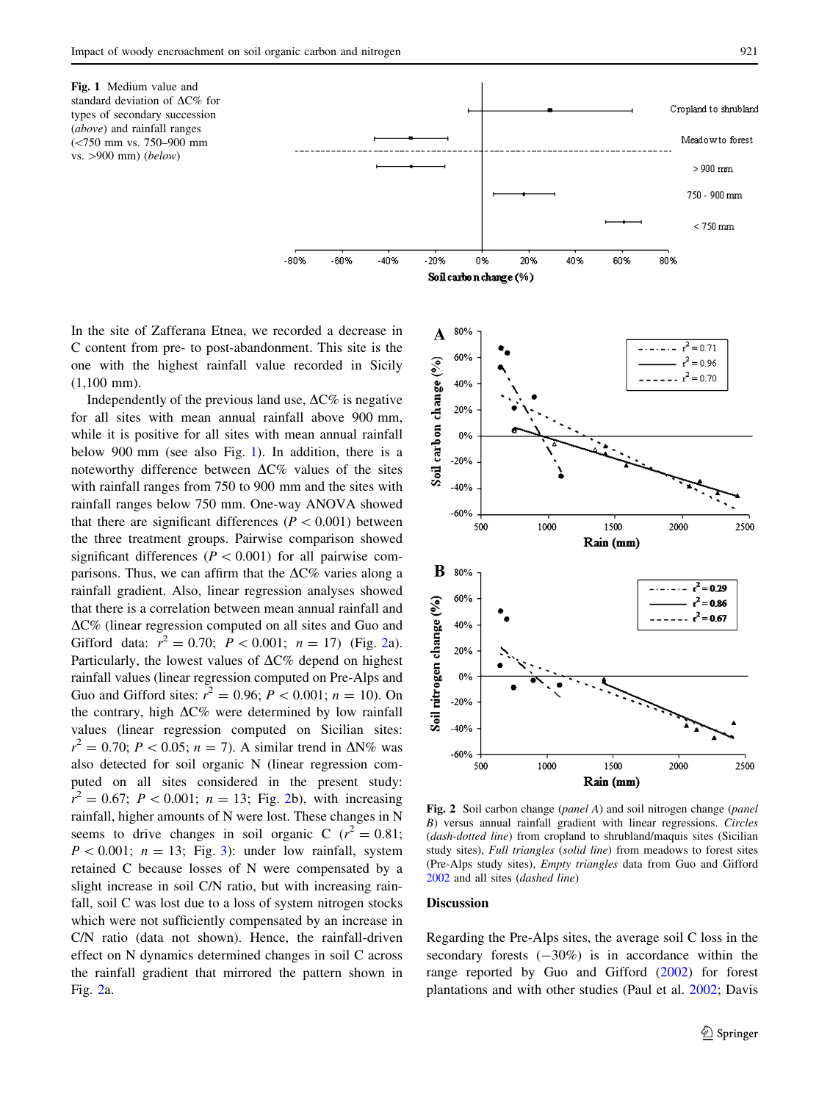<span id="page-4-0"></span>

In the site of Zafferana Etnea, we recorded a decrease in C content from pre- to post-abandonment. This site is the one with the highest rainfall value recorded in Sicily (1,100 mm).

Independently of the previous land use,  $\Delta$ C% is negative for all sites with mean annual rainfall above 900 mm, while it is positive for all sites with mean annual rainfall below 900 mm (see also Fig. 1). In addition, there is a noteworthy difference between  $\Delta$ C% values of the sites with rainfall ranges from 750 to 900 mm and the sites with rainfall ranges below 750 mm. One-way ANOVA showed that there are significant differences ( $P < 0.001$ ) between the three treatment groups. Pairwise comparison showed significant differences ( $P < 0.001$ ) for all pairwise comparisons. Thus, we can affirm that the  $\Delta$ C% varies along a rainfall gradient. Also, linear regression analyses showed that there is a correlation between mean annual rainfall and  $\Delta$ C% (linear regression computed on all sites and Guo and Gifford data:  $r^2 = 0.70$ ;  $P < 0.001$ ;  $n = 17$ ) (Fig. 2a). Particularly, the lowest values of  $\Delta$ C% depend on highest rainfall values (linear regression computed on Pre-Alps and Guo and Gifford sites:  $r^2 = 0.96$ ;  $P < 0.001$ ;  $n = 10$ ). On the contrary, high  $\Delta$ C% were determined by low rainfall values (linear regression computed on Sicilian sites:  $r^2 = 0.70; P < 0.05; n = 7$ . A similar trend in  $\Delta N\%$  was also detected for soil organic N (linear regression computed on all sites considered in the present study:  $r^2 = 0.67$ ;  $P < 0.001$ ;  $n = 13$ ; Fig. 2b), with increasing rainfall, higher amounts of N were lost. These changes in N seems to drive changes in soil organic C ( $r^2 = 0.81$ ;  $P < 0.001$ ;  $n = 13$  $n = 13$ ; Fig. 3): under low rainfall, system retained C because losses of N were compensated by a slight increase in soil C/N ratio, but with increasing rainfall, soil C was lost due to a loss of system nitrogen stocks which were not sufficiently compensated by an increase in C/N ratio (data not shown). Hence, the rainfall-driven effect on N dynamics determined changes in soil C across the rainfall gradient that mirrored the pattern shown in Fig. 2a.



Fig. 2 Soil carbon change (*panel A*) and soil nitrogen change (*panel* B) versus annual rainfall gradient with linear regressions. Circles (dash-dotted line) from cropland to shrubland/maquis sites (Sicilian study sites), Full triangles (solid line) from meadows to forest sites (Pre-Alps study sites), Empty triangles data from Guo and Gifford [2002](#page-6-0) and all sites (dashed line)

# Discussion

Regarding the Pre-Alps sites, the average soil C loss in the secondary forests  $(-30\%)$  is in accordance within the range reported by Guo and Gifford [\(2002](#page-6-0)) for forest plantations and with other studies (Paul et al. [2002;](#page-7-0) Davis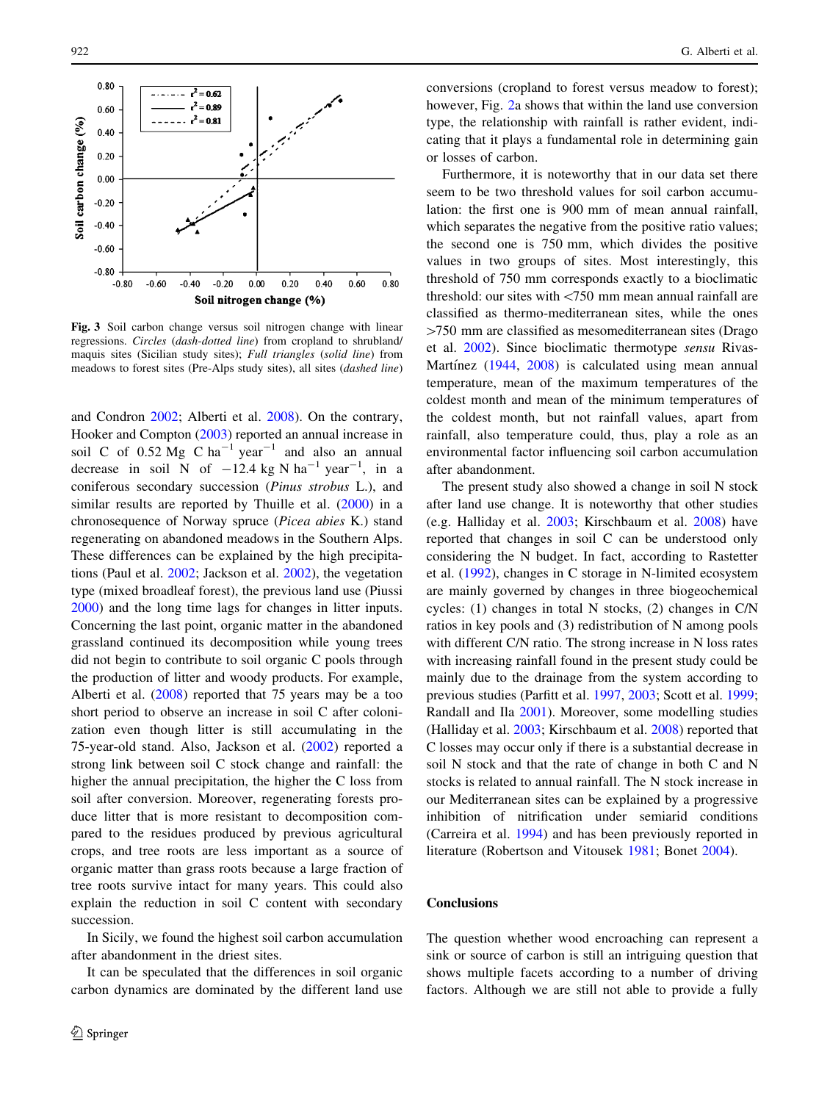<span id="page-5-0"></span>

Fig. 3 Soil carbon change versus soil nitrogen change with linear regressions. Circles (dash-dotted line) from cropland to shrubland/ maquis sites (Sicilian study sites); Full triangles (solid line) from meadows to forest sites (Pre-Alps study sites), all sites (dashed line)

and Condron [2002](#page-6-0); Alberti et al. [2008\)](#page-6-0). On the contrary, Hooker and Compton [\(2003](#page-6-0)) reported an annual increase in soil C of  $0.52 \text{ Mg}$  C ha<sup>-1</sup> year<sup>-1</sup> and also an annual decrease in soil N of  $-12.4$  kg N ha<sup>-1</sup> year<sup>-1</sup>, in a coniferous secondary succession (Pinus strobus L.), and similar results are reported by Thuille et al. ([2000\)](#page-7-0) in a chronosequence of Norway spruce (Picea abies K.) stand regenerating on abandoned meadows in the Southern Alps. These differences can be explained by the high precipitations (Paul et al. [2002](#page-7-0); Jackson et al. [2002](#page-6-0)), the vegetation type (mixed broadleaf forest), the previous land use (Piussi [2000\)](#page-7-0) and the long time lags for changes in litter inputs. Concerning the last point, organic matter in the abandoned grassland continued its decomposition while young trees did not begin to contribute to soil organic C pools through the production of litter and woody products. For example, Alberti et al. ([2008\)](#page-6-0) reported that 75 years may be a too short period to observe an increase in soil C after colonization even though litter is still accumulating in the 75-year-old stand. Also, Jackson et al. ([2002\)](#page-6-0) reported a strong link between soil C stock change and rainfall: the higher the annual precipitation, the higher the C loss from soil after conversion. Moreover, regenerating forests produce litter that is more resistant to decomposition compared to the residues produced by previous agricultural crops, and tree roots are less important as a source of organic matter than grass roots because a large fraction of tree roots survive intact for many years. This could also explain the reduction in soil C content with secondary succession.

In Sicily, we found the highest soil carbon accumulation after abandonment in the driest sites.

It can be speculated that the differences in soil organic carbon dynamics are dominated by the different land use conversions (cropland to forest versus meadow to forest); however, Fig. [2a](#page-4-0) shows that within the land use conversion type, the relationship with rainfall is rather evident, indicating that it plays a fundamental role in determining gain or losses of carbon.

Furthermore, it is noteworthy that in our data set there seem to be two threshold values for soil carbon accumulation: the first one is 900 mm of mean annual rainfall, which separates the negative from the positive ratio values; the second one is 750 mm, which divides the positive values in two groups of sites. Most interestingly, this threshold of 750 mm corresponds exactly to a bioclimatic threshold: our sites with <750 mm mean annual rainfall are classified as thermo-mediterranean sites, while the ones  $>750$  mm are classified as mesomediterranean sites (Drago et al. [2002\)](#page-6-0). Since bioclimatic thermotype sensu Rivas-Martínez  $(1944, 2008)$  $(1944, 2008)$  $(1944, 2008)$  $(1944, 2008)$  $(1944, 2008)$  is calculated using mean annual temperature, mean of the maximum temperatures of the coldest month and mean of the minimum temperatures of the coldest month, but not rainfall values, apart from rainfall, also temperature could, thus, play a role as an environmental factor influencing soil carbon accumulation after abandonment.

The present study also showed a change in soil N stock after land use change. It is noteworthy that other studies (e.g. Halliday et al. [2003](#page-6-0); Kirschbaum et al. [2008\)](#page-6-0) have reported that changes in soil C can be understood only considering the N budget. In fact, according to Rastetter et al. ([1992\)](#page-7-0), changes in C storage in N-limited ecosystem are mainly governed by changes in three biogeochemical cycles: (1) changes in total N stocks, (2) changes in C/N ratios in key pools and (3) redistribution of N among pools with different C/N ratio. The strong increase in N loss rates with increasing rainfall found in the present study could be mainly due to the drainage from the system according to previous studies (Parfitt et al. [1997,](#page-6-0) [2003;](#page-6-0) Scott et al. [1999](#page-7-0); Randall and Ila [2001\)](#page-7-0). Moreover, some modelling studies (Halliday et al. [2003;](#page-6-0) Kirschbaum et al. [2008](#page-6-0)) reported that C losses may occur only if there is a substantial decrease in soil N stock and that the rate of change in both C and N stocks is related to annual rainfall. The N stock increase in our Mediterranean sites can be explained by a progressive inhibition of nitrification under semiarid conditions (Carreira et al. [1994\)](#page-6-0) and has been previously reported in literature (Robertson and Vitousek [1981;](#page-7-0) Bonet [2004\)](#page-6-0).

# **Conclusions**

The question whether wood encroaching can represent a sink or source of carbon is still an intriguing question that shows multiple facets according to a number of driving factors. Although we are still not able to provide a fully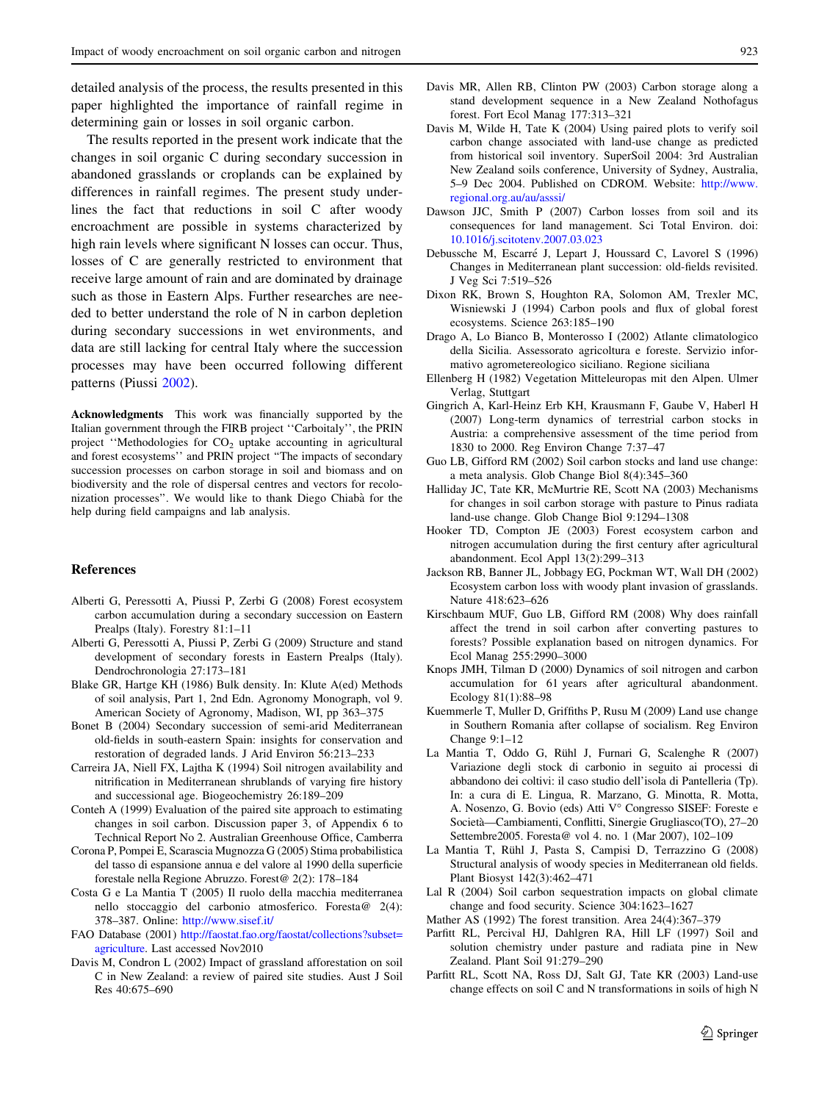<span id="page-6-0"></span>detailed analysis of the process, the results presented in this paper highlighted the importance of rainfall regime in determining gain or losses in soil organic carbon.

The results reported in the present work indicate that the changes in soil organic C during secondary succession in abandoned grasslands or croplands can be explained by differences in rainfall regimes. The present study underlines the fact that reductions in soil C after woody encroachment are possible in systems characterized by high rain levels where significant N losses can occur. Thus, losses of C are generally restricted to environment that receive large amount of rain and are dominated by drainage such as those in Eastern Alps. Further researches are needed to better understand the role of N in carbon depletion during secondary successions in wet environments, and data are still lacking for central Italy where the succession processes may have been occurred following different patterns (Piussi [2002](#page-7-0)).

Acknowledgments This work was financially supported by the Italian government through the FIRB project ''Carboitaly'', the PRIN project "Methodologies for  $CO<sub>2</sub>$  uptake accounting in agricultural and forest ecosystems'' and PRIN project ''The impacts of secondary succession processes on carbon storage in soil and biomass and on biodiversity and the role of dispersal centres and vectors for recolonization processes''. We would like to thank Diego Chiaba` for the help during field campaigns and lab analysis.

# References

- Alberti G, Peressotti A, Piussi P, Zerbi G (2008) Forest ecosystem carbon accumulation during a secondary succession on Eastern Prealps (Italy). Forestry 81:1–11
- Alberti G, Peressotti A, Piussi P, Zerbi G (2009) Structure and stand development of secondary forests in Eastern Prealps (Italy). Dendrochronologia 27:173–181
- Blake GR, Hartge KH (1986) Bulk density. In: Klute A(ed) Methods of soil analysis, Part 1, 2nd Edn. Agronomy Monograph, vol 9. American Society of Agronomy, Madison, WI, pp 363–375
- Bonet B (2004) Secondary succession of semi-arid Mediterranean old-fields in south-eastern Spain: insights for conservation and restoration of degraded lands. J Arid Environ 56:213–233
- Carreira JA, Niell FX, Lajtha K (1994) Soil nitrogen availability and nitrification in Mediterranean shrublands of varying fire history and successional age. Biogeochemistry 26:189–209
- Conteh A (1999) Evaluation of the paired site approach to estimating changes in soil carbon. Discussion paper 3, of Appendix 6 to Technical Report No 2. Australian Greenhouse Office, Camberra
- Corona P, Pompei E, Scarascia Mugnozza G (2005) Stima probabilistica del tasso di espansione annua e del valore al 1990 della superficie forestale nella Regione Abruzzo. Forest@ 2(2): 178–184
- Costa G e La Mantia T (2005) Il ruolo della macchia mediterranea nello stoccaggio del carbonio atmosferico. Foresta@ 2(4): 378–387. Online: <http://www.sisef.it/>
- FAO Database (2001) [http://faostat.fao.org/faostat/collections?subset=](http://faostat.fao.org/faostat/collections?subset=agriculture) [agriculture.](http://faostat.fao.org/faostat/collections?subset=agriculture) Last accessed Nov2010
- Davis M, Condron L (2002) Impact of grassland afforestation on soil C in New Zealand: a review of paired site studies. Aust J Soil Res 40:675–690
- Davis MR, Allen RB, Clinton PW (2003) Carbon storage along a stand development sequence in a New Zealand Nothofagus forest. Fort Ecol Manag 177:313–321
- Davis M, Wilde H, Tate K (2004) Using paired plots to verify soil carbon change associated with land-use change as predicted from historical soil inventory. SuperSoil 2004: 3rd Australian New Zealand soils conference, University of Sydney, Australia, 5–9 Dec 2004. Published on CDROM. Website: [http://www.](http://www.regional.org.au/au/asssi/) [regional.org.au/au/asssi/](http://www.regional.org.au/au/asssi/)
- Dawson JJC, Smith P (2007) Carbon losses from soil and its consequences for land management. Sci Total Environ. doi: [10.1016/j.scitotenv.2007.03.023](http://dx.doi.org/10.1016/j.scitotenv.2007.03.023)
- Debussche M, Escarré J, Lepart J, Houssard C, Lavorel S (1996) Changes in Mediterranean plant succession: old-fields revisited. J Veg Sci 7:519–526
- Dixon RK, Brown S, Houghton RA, Solomon AM, Trexler MC, Wisniewski J (1994) Carbon pools and flux of global forest ecosystems. Science 263:185–190
- Drago A, Lo Bianco B, Monterosso I (2002) Atlante climatologico della Sicilia. Assessorato agricoltura e foreste. Servizio informativo agrometereologico siciliano. Regione siciliana
- Ellenberg H (1982) Vegetation Mitteleuropas mit den Alpen. Ulmer Verlag, Stuttgart
- Gingrich A, Karl-Heinz Erb KH, Krausmann F, Gaube V, Haberl H (2007) Long-term dynamics of terrestrial carbon stocks in Austria: a comprehensive assessment of the time period from 1830 to 2000. Reg Environ Change 7:37–47
- Guo LB, Gifford RM (2002) Soil carbon stocks and land use change: a meta analysis. Glob Change Biol 8(4):345–360
- Halliday JC, Tate KR, McMurtrie RE, Scott NA (2003) Mechanisms for changes in soil carbon storage with pasture to Pinus radiata land-use change. Glob Change Biol 9:1294–1308
- Hooker TD, Compton JE (2003) Forest ecosystem carbon and nitrogen accumulation during the first century after agricultural abandonment. Ecol Appl 13(2):299–313
- Jackson RB, Banner JL, Jobbagy EG, Pockman WT, Wall DH (2002) Ecosystem carbon loss with woody plant invasion of grasslands. Nature 418:623–626
- Kirschbaum MUF, Guo LB, Gifford RM (2008) Why does rainfall affect the trend in soil carbon after converting pastures to forests? Possible explanation based on nitrogen dynamics. For Ecol Manag 255:2990–3000
- Knops JMH, Tilman D (2000) Dynamics of soil nitrogen and carbon accumulation for 61 years after agricultural abandonment. Ecology 81(1):88–98
- Kuemmerle T, Muller D, Griffiths P, Rusu M (2009) Land use change in Southern Romania after collapse of socialism. Reg Environ Change 9:1–12
- La Mantia T, Oddo G, Rühl J, Furnari G, Scalenghe R (2007) Variazione degli stock di carbonio in seguito ai processi di abbandono dei coltivi: il caso studio dell'isola di Pantelleria (Tp). In: a cura di E. Lingua, R. Marzano, G. Minotta, R. Motta, A. Nosenzo, G. Bovio (eds) Atti V° Congresso SISEF: Foreste e Societa`—Cambiamenti, Conflitti, Sinergie Grugliasco(TO), 27–20 Settembre2005. Foresta@ vol 4. no. 1 (Mar 2007), 102–109
- La Mantia T, Rühl J, Pasta S, Campisi D, Terrazzino G (2008) Structural analysis of woody species in Mediterranean old fields. Plant Biosyst 142(3):462–471
- Lal R (2004) Soil carbon sequestration impacts on global climate change and food security. Science 304:1623–1627
- Mather AS (1992) The forest transition. Area 24(4):367–379
- Parfitt RL, Percival HJ, Dahlgren RA, Hill LF (1997) Soil and solution chemistry under pasture and radiata pine in New Zealand. Plant Soil 91:279–290
- Parfitt RL, Scott NA, Ross DJ, Salt GJ, Tate KR (2003) Land-use change effects on soil C and N transformations in soils of high N